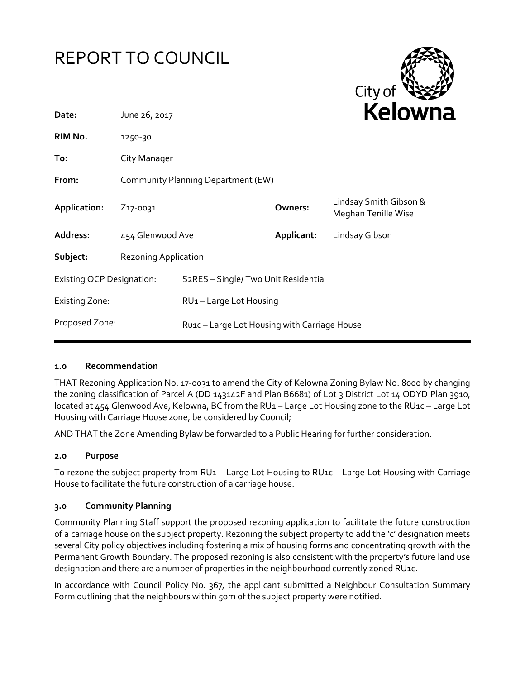



| Date:                            | June 26, 2017                      |                                                  |            | NEIUWI                                        |
|----------------------------------|------------------------------------|--------------------------------------------------|------------|-----------------------------------------------|
| RIM No.                          | 1250-30                            |                                                  |            |                                               |
| To:                              | City Manager                       |                                                  |            |                                               |
| From:                            | Community Planning Department (EW) |                                                  |            |                                               |
| Application:                     | Z <sub>17</sub> -0031              |                                                  | Owners:    | Lindsay Smith Gibson &<br>Meghan Tenille Wise |
| Address:                         | 454 Glenwood Ave                   |                                                  | Applicant: | Lindsay Gibson                                |
| Subject:                         | <b>Rezoning Application</b>        |                                                  |            |                                               |
| <b>Existing OCP Designation:</b> |                                    | S <sub>2</sub> RES - Single/Two Unit Residential |            |                                               |
| <b>Existing Zone:</b>            |                                    | RU1-Large Lot Housing                            |            |                                               |
| Proposed Zone:                   |                                    | Ruic - Large Lot Housing with Carriage House     |            |                                               |

#### **1.0 Recommendation**

THAT Rezoning Application No. 17-0031 to amend the City of Kelowna Zoning Bylaw No. 8000 by changing the zoning classification of Parcel A (DD 143142F and Plan B6681) of Lot 3 District Lot 14 ODYD Plan 3910, located at 454 Glenwood Ave, Kelowna, BC from the RU1 - Large Lot Housing zone to the RU1c - Large Lot Housing with Carriage House zone, be considered by Council;

AND THAT the Zone Amending Bylaw be forwarded to a Public Hearing for further consideration.

#### **2.0 Purpose**

To rezone the subject property from RU1 – Large Lot Housing to RU1c – Large Lot Housing with Carriage House to facilitate the future construction of a carriage house.

#### **3.0 Community Planning**

Community Planning Staff support the proposed rezoning application to facilitate the future construction of a carriage house on the subject property. Rezoning the subject property to add the 'c' designation meets several City policy objectives including fostering a mix of housing forms and concentrating growth with the Permanent Growth Boundary. The proposed rezoning is also consistent with the property's future land use designation and there are a number of properties in the neighbourhood currently zoned RU1c.

In accordance with Council Policy No. 367, the applicant submitted a Neighbour Consultation Summary Form outlining that the neighbours within 50m of the subject property were notified.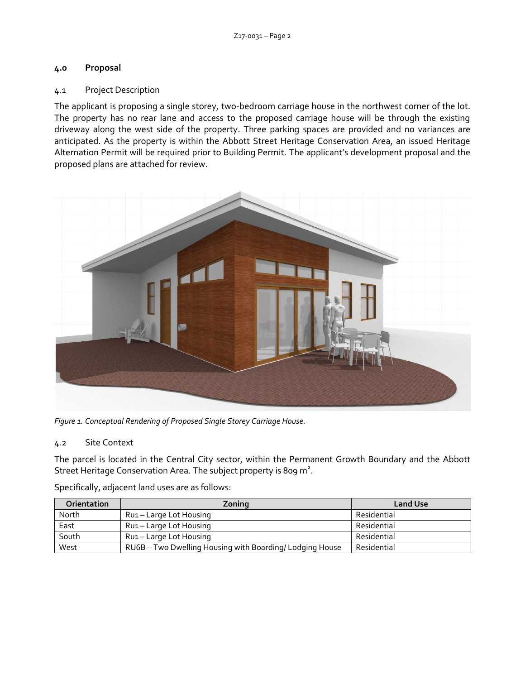# **4.0 Proposal**

## 4.1 Project Description

The applicant is proposing a single storey, two-bedroom carriage house in the northwest corner of the lot. The property has no rear lane and access to the proposed carriage house will be through the existing driveway along the west side of the property. Three parking spaces are provided and no variances are anticipated. As the property is within the Abbott Street Heritage Conservation Area, an issued Heritage Alternation Permit will be required prior to Building Permit. The applicant's development proposal and the proposed plans are attached for review.



*Figure 1. Conceptual Rendering of Proposed Single Storey Carriage House.*

## 4.2 Site Context

The parcel is located in the Central City sector, within the Permanent Growth Boundary and the Abbott Street Heritage Conservation Area. The subject property is 809 m<sup>2</sup>.

Specifically, adjacent land uses are as follows:

| <b>Orientation</b> | Zoning                                                  | <b>Land Use</b> |
|--------------------|---------------------------------------------------------|-----------------|
| North              | Rui – Large Lot Housing                                 | Residential     |
| East               | Rui – Large Lot Housing                                 | Residential     |
| South              | Rui – Large Lot Housing                                 | Residential     |
| West               | RU6B - Two Dwelling Housing with Boarding/Lodging House | Residential     |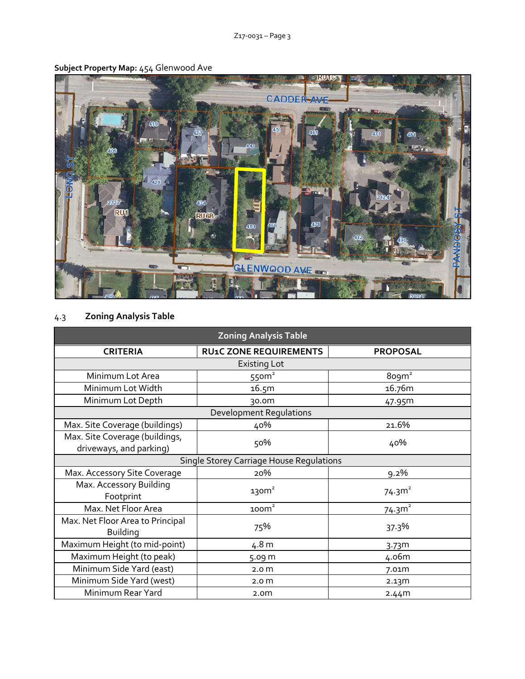

**Subject Property Map:** 454 Glenwood Ave

# 4.3 **Zoning Analysis Table**

| <b>Zoning Analysis Table</b>                              |                               |                                |  |  |
|-----------------------------------------------------------|-------------------------------|--------------------------------|--|--|
| <b>CRITERIA</b>                                           | <b>RU1C ZONE REQUIREMENTS</b> | <b>PROPOSAL</b>                |  |  |
| <b>Existing Lot</b>                                       |                               |                                |  |  |
| Minimum Lot Area                                          | $55$ om <sup>2</sup>          | $8$ ogm <sup>2</sup>           |  |  |
| Minimum Lot Width                                         | 16.5m                         | 16.76m                         |  |  |
| Minimum Lot Depth                                         | 30.0m                         | 47.95m                         |  |  |
| <b>Development Regulations</b>                            |                               |                                |  |  |
| Max. Site Coverage (buildings)                            | 40%                           | 21.6%                          |  |  |
| Max. Site Coverage (buildings,<br>driveways, and parking) | 50%                           | 40%                            |  |  |
| Single Storey Carriage House Regulations                  |                               |                                |  |  |
| Max. Accessory Site Coverage                              | 20%                           | 9.2%                           |  |  |
| Max. Accessory Building<br>Footprint                      | 130 <sup>2</sup>              | 74.3 <sup> m<sup>2</sup></sup> |  |  |
| Max. Net Floor Area                                       | 100 <sup>2</sup>              | 74.3m <sup>2</sup>             |  |  |
| Max. Net Floor Area to Principal<br><b>Building</b>       | 75%                           | 37.3%                          |  |  |
| Maximum Height (to mid-point)                             | 4.8 m                         | 3.73 <sub>m</sub>              |  |  |
| Maximum Height (to peak)                                  | 5.09 m                        | 4.06m                          |  |  |
| Minimum Side Yard (east)                                  | 2.0 <sub>m</sub>              | 7.01m                          |  |  |
| Minimum Side Yard (west)                                  | 2.0 <sub>m</sub>              | 2.13 <sub>m</sub>              |  |  |
| Minimum Rear Yard                                         | 2.0 <sub>m</sub>              | 2.44m                          |  |  |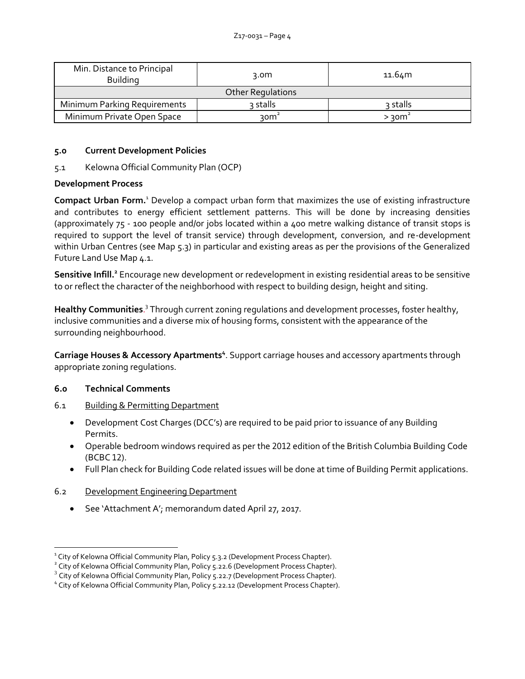| Min. Distance to Principal<br><b>Building</b> | 3.0m            | 11.64m      |  |
|-----------------------------------------------|-----------------|-------------|--|
| <b>Other Regulations</b>                      |                 |             |  |
| Minimum Parking Requirements                  | 3 stalls        | 3 stalls    |  |
| Minimum Private Open Space                    | 30 <sup>2</sup> | $>$ 30 $m2$ |  |

#### **5.0 Current Development Policies**

5.1 Kelowna Official Community Plan (OCP)

## **Development Process**

**Compact Urban Form.**<sup>1</sup> Develop a compact urban form that maximizes the use of existing infrastructure and contributes to energy efficient settlement patterns. This will be done by increasing densities (approximately 75 - 100 people and/or jobs located within a 400 metre walking distance of transit stops is required to support the level of transit service) through development, conversion, and re-development within Urban Centres (see Map 5.3) in particular and existing areas as per the provisions of the Generalized Future Land Use Map 4.1.

Sensitive Infill.<sup>2</sup> Encourage new development or redevelopment in existing residential areas to be sensitive to or reflect the character of the neighborhood with respect to building design, height and siting.

Healthy Communities.<sup>3</sup> Through current zoning regulations and development processes, foster healthy, inclusive communities and a diverse mix of housing forms, consistent with the appearance of the surrounding neighbourhood.

Carriage Houses & Accessory Apartments<sup>4</sup>. Support carriage houses and accessory apartments through appropriate zoning regulations.

## **6.0 Technical Comments**

1

- 6.1 Building & Permitting Department
	- Development Cost Charges (DCC's) are required to be paid prior to issuance of any Building Permits.
	- Operable bedroom windows required as per the 2012 edition of the British Columbia Building Code (BCBC 12).
	- Full Plan check for Building Code related issues will be done at time of Building Permit applications.
- 6.2 Development Engineering Department
	- See 'Attachment A'; memorandum dated April 27, 2017.

 $^1$  City of Kelowna Official Community Plan, Policy 5.3.2 (Development Process Chapter).

<sup>&</sup>lt;sup>2</sup> City of Kelowna Official Community Plan, Policy 5.22.6 (Development Process Chapter).

 $3$  City of Kelowna Official Community Plan, Policy 5.22.7 (Development Process Chapter).

<sup>&</sup>lt;sup>4</sup> City of Kelowna Official Community Plan, Policy 5.22.12 (Development Process Chapter).